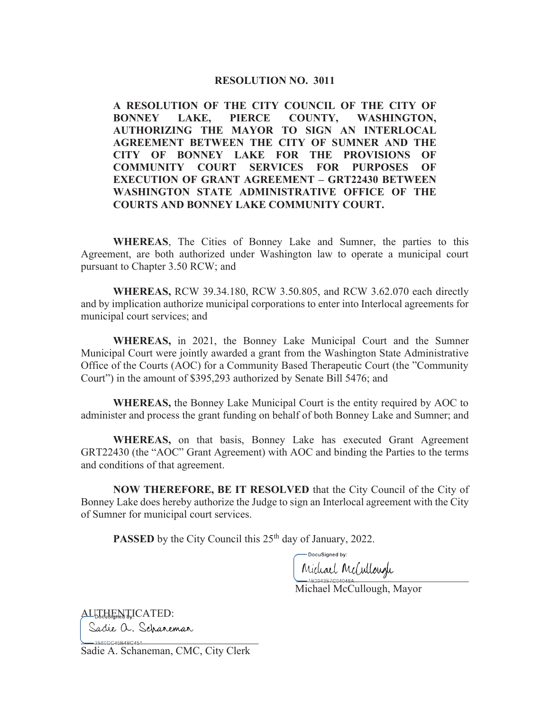#### **RESOLUTION NO. 3011**

**A RESOLUTION OF THE CITY COUNCIL OF THE CITY OF BONNEY LAKE, PIERCE COUNTY, WASHINGTON, AUTHORIZING THE MAYOR TO SIGN AN INTERLOCAL AGREEMENT BETWEEN THE CITY OF SUMNER AND THE CITY OF BONNEY LAKE FOR THE PROVISIONS OF COMMUNITY COURT SERVICES FOR PURPOSES OF EXECUTION OF GRANT AGREEMENT – GRT22430 BETWEEN WASHINGTON STATE ADMINISTRATIVE OFFICE OF THE COURTS AND BONNEY LAKE COMMUNITY COURT.** 

 **WHEREAS**, The Cities of Bonney Lake and Sumner, the parties to this Agreement, are both authorized under Washington law to operate a municipal court pursuant to Chapter 3.50 RCW; and

 **WHEREAS,** RCW 39.34.180, RCW 3.50.805, and RCW 3.62.070 each directly and by implication authorize municipal corporations to enter into Interlocal agreements for municipal court services; and

**WHEREAS,** in 2021, the Bonney Lake Municipal Court and the Sumner Municipal Court were jointly awarded a grant from the Washington State Administrative Office of the Courts (AOC) for a Community Based Therapeutic Court (the "Community Court") in the amount of \$395,293 authorized by Senate Bill 5476; and

**WHEREAS,** the Bonney Lake Municipal Court is the entity required by AOC to administer and process the grant funding on behalf of both Bonney Lake and Sumner; and

**WHEREAS,** on that basis, Bonney Lake has executed Grant Agreement GRT22430 (the "AOC" Grant Agreement) with AOC and binding the Parties to the terms and conditions of that agreement.

 **NOW THEREFORE, BE IT RESOLVED** that the City Council of the City of Bonney Lake does hereby authorize the Judge to sign an Interlocal agreement with the City of Sumner for municipal court services.

**PASSED** by the City Council this 25<sup>th</sup> day of January, 2022.

-DocuSigned by: mann manns

Michael McCullough, Mayor

AUTHENTICATED: Sadie a. Schaneman

 $-3E60DC45B4BC451$ Sadie A. Schaneman, CMC, City Clerk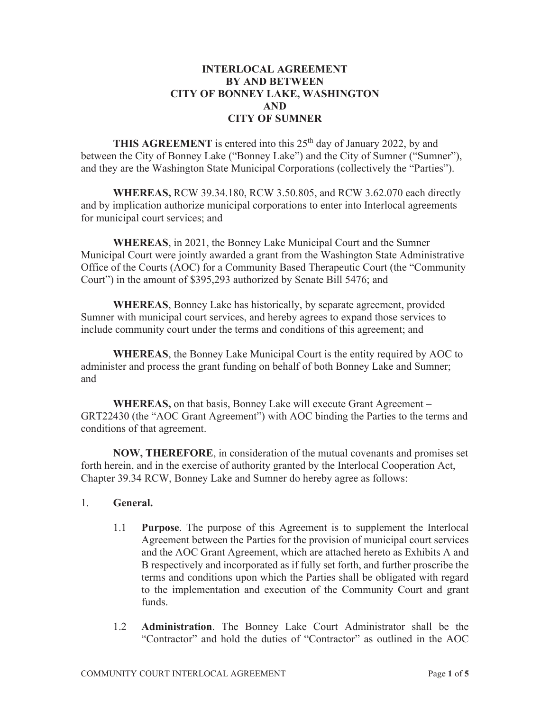## **INTERLOCAL AGREEMENT BY AND BETWEEN CITY OF BONNEY LAKE, WASHINGTON AND CITY OF SUMNER**

**THIS AGREEMENT** is entered into this 25<sup>th</sup> day of January 2022, by and between the City of Bonney Lake ("Bonney Lake") and the City of Sumner ("Sumner"), and they are the Washington State Municipal Corporations (collectively the "Parties").

**WHEREAS,** RCW 39.34.180, RCW 3.50.805, and RCW 3.62.070 each directly and by implication authorize municipal corporations to enter into Interlocal agreements for municipal court services; and

**WHEREAS**, in 2021, the Bonney Lake Municipal Court and the Sumner Municipal Court were jointly awarded a grant from the Washington State Administrative Office of the Courts (AOC) for a Community Based Therapeutic Court (the "Community Court") in the amount of \$395,293 authorized by Senate Bill 5476; and

**WHEREAS**, Bonney Lake has historically, by separate agreement, provided Sumner with municipal court services, and hereby agrees to expand those services to include community court under the terms and conditions of this agreement; and

**WHEREAS**, the Bonney Lake Municipal Court is the entity required by AOC to administer and process the grant funding on behalf of both Bonney Lake and Sumner; and

**WHEREAS,** on that basis, Bonney Lake will execute Grant Agreement – GRT22430 (the "AOC Grant Agreement") with AOC binding the Parties to the terms and conditions of that agreement.

**NOW, THEREFORE**, in consideration of the mutual covenants and promises set forth herein, and in the exercise of authority granted by the Interlocal Cooperation Act, Chapter 39.34 RCW, Bonney Lake and Sumner do hereby agree as follows:

### 1. **General.**

- 1.1 **Purpose**. The purpose of this Agreement is to supplement the Interlocal Agreement between the Parties for the provision of municipal court services and the AOC Grant Agreement, which are attached hereto as Exhibits A and B respectively and incorporated as if fully set forth, and further proscribe the terms and conditions upon which the Parties shall be obligated with regard to the implementation and execution of the Community Court and grant funds.
- 1.2 **Administration**. The Bonney Lake Court Administrator shall be the "Contractor" and hold the duties of "Contractor" as outlined in the AOC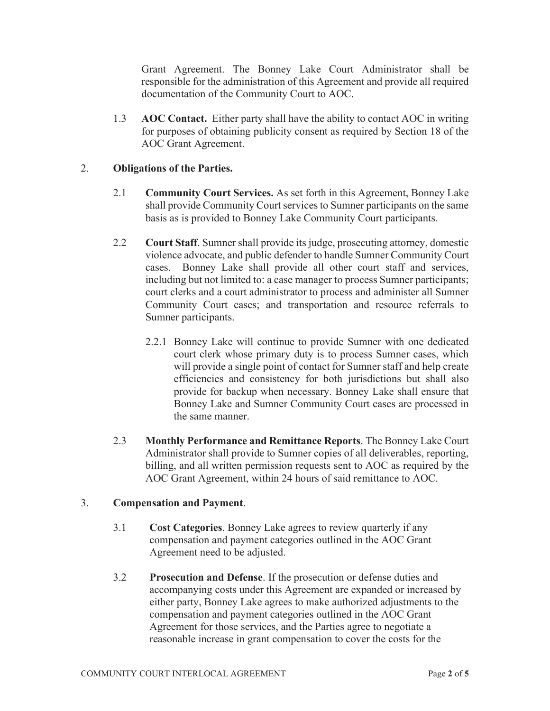Grant Agreement. The Bonney Lake Court Administrator shall be responsible for the administration of this Agreement and provide all required documentation of the Community Court to AOC.

1.3 **AOC Contact.** Either party shall have the ability to contact AOC in writing for purposes of obtaining publicity consent as required by Section 18 of the AOC Grant Agreement.

## 2. **Obligations of the Parties.**

- 2.1 **Community Court Services.** As set forth in this Agreement, Bonney Lake shall provide Community Court services to Sumner participants on the same basis as is provided to Bonney Lake Community Court participants.
- 2.2 **Court Staff**. Sumner shall provide its judge, prosecuting attorney, domestic violence advocate, and public defender to handle Sumner Community Court cases. Bonney Lake shall provide all other court staff and services, including but not limited to: a case manager to process Sumner participants; court clerks and a court administrator to process and administer all Sumner Community Court cases; and transportation and resource referrals to Sumner participants.
	- 2.2.1 Bonney Lake will continue to provide Sumner with one dedicated court clerk whose primary duty is to process Sumner cases, which will provide a single point of contact for Sumner staff and help create efficiencies and consistency for both jurisdictions but shall also provide for backup when necessary. Bonney Lake shall ensure that Bonney Lake and Sumner Community Court cases are processed in the same manner.
- 2.3 **Monthly Performance and Remittance Reports**. The Bonney Lake Court Administrator shall provide to Sumner copies of all deliverables, reporting, billing, and all written permission requests sent to AOC as required by the AOC Grant Agreement, within 24 hours of said remittance to AOC.

### 3. **Compensation and Payment**.

- 3.1 **Cost Categories**. Bonney Lake agrees to review quarterly if any compensation and payment categories outlined in the AOC Grant Agreement need to be adjusted.
- 3.2 **Prosecution and Defense**. If the prosecution or defense duties and accompanying costs under this Agreement are expanded or increased by either party, Bonney Lake agrees to make authorized adjustments to the compensation and payment categories outlined in the AOC Grant Agreement for those services, and the Parties agree to negotiate a reasonable increase in grant compensation to cover the costs for the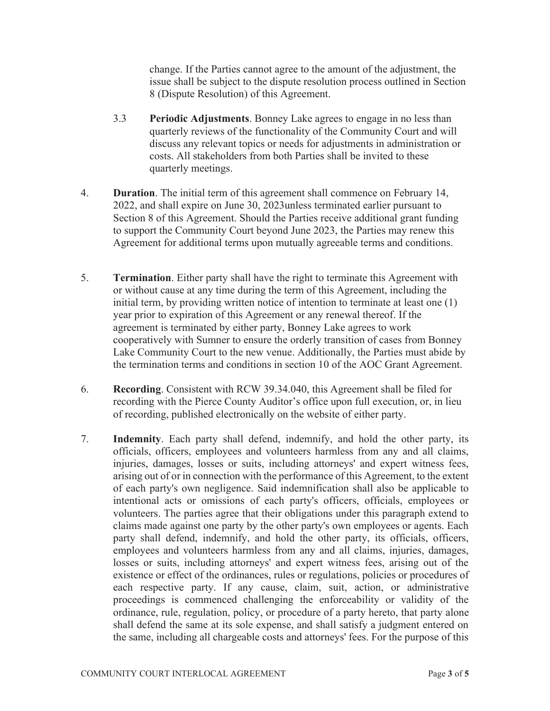change. If the Parties cannot agree to the amount of the adjustment, the issue shall be subject to the dispute resolution process outlined in Section 8 (Dispute Resolution) of this Agreement.

- 3.3 **Periodic Adjustments**. Bonney Lake agrees to engage in no less than quarterly reviews of the functionality of the Community Court and will discuss any relevant topics or needs for adjustments in administration or costs. All stakeholders from both Parties shall be invited to these quarterly meetings.
- 4. **Duration**. The initial term of this agreement shall commence on February 14, 2022, and shall expire on June 30, 2023unless terminated earlier pursuant to Section 8 of this Agreement. Should the Parties receive additional grant funding to support the Community Court beyond June 2023, the Parties may renew this Agreement for additional terms upon mutually agreeable terms and conditions.
- 5. **Termination**. Either party shall have the right to terminate this Agreement with or without cause at any time during the term of this Agreement, including the initial term, by providing written notice of intention to terminate at least one (1) year prior to expiration of this Agreement or any renewal thereof. If the agreement is terminated by either party, Bonney Lake agrees to work cooperatively with Sumner to ensure the orderly transition of cases from Bonney Lake Community Court to the new venue. Additionally, the Parties must abide by the termination terms and conditions in section 10 of the AOC Grant Agreement.
- 6. **Recording**. Consistent with RCW 39.34.040, this Agreement shall be filed for recording with the Pierce County Auditor's office upon full execution, or, in lieu of recording, published electronically on the website of either party.
- 7. **Indemnity**. Each party shall defend, indemnify, and hold the other party, its officials, officers, employees and volunteers harmless from any and all claims, injuries, damages, losses or suits, including attorneys' and expert witness fees, arising out of or in connection with the performance of this Agreement, to the extent of each party's own negligence. Said indemnification shall also be applicable to intentional acts or omissions of each party's officers, officials, employees or volunteers. The parties agree that their obligations under this paragraph extend to claims made against one party by the other party's own employees or agents. Each party shall defend, indemnify, and hold the other party, its officials, officers, employees and volunteers harmless from any and all claims, injuries, damages, losses or suits, including attorneys' and expert witness fees, arising out of the existence or effect of the ordinances, rules or regulations, policies or procedures of each respective party. If any cause, claim, suit, action, or administrative proceedings is commenced challenging the enforceability or validity of the ordinance, rule, regulation, policy, or procedure of a party hereto, that party alone shall defend the same at its sole expense, and shall satisfy a judgment entered on the same, including all chargeable costs and attorneys' fees. For the purpose of this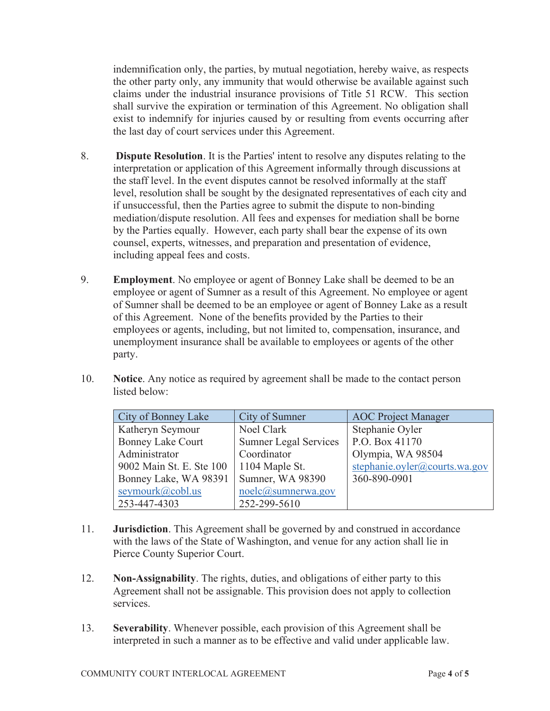indemnification only, the parties, by mutual negotiation, hereby waive, as respects the other party only, any immunity that would otherwise be available against such claims under the industrial insurance provisions of Title 51 RCW. This section shall survive the expiration or termination of this Agreement. No obligation shall exist to indemnify for injuries caused by or resulting from events occurring after the last day of court services under this Agreement.

- 8. **Dispute Resolution**. It is the Parties' intent to resolve any disputes relating to the interpretation or application of this Agreement informally through discussions at the staff level. In the event disputes cannot be resolved informally at the staff level, resolution shall be sought by the designated representatives of each city and if unsuccessful, then the Parties agree to submit the dispute to non-binding mediation/dispute resolution. All fees and expenses for mediation shall be borne by the Parties equally. However, each party shall bear the expense of its own counsel, experts, witnesses, and preparation and presentation of evidence, including appeal fees and costs.
- 9. **Employment**. No employee or agent of Bonney Lake shall be deemed to be an employee or agent of Sumner as a result of this Agreement. No employee or agent of Sumner shall be deemed to be an employee or agent of Bonney Lake as a result of this Agreement. None of the benefits provided by the Parties to their employees or agents, including, but not limited to, compensation, insurance, and unemployment insurance shall be available to employees or agents of the other party.
- 10. **Notice**. Any notice as required by agreement shall be made to the contact person listed below:

| City of Bonney Lake      | City of Sumner                           | <b>AOC</b> Project Manager    |
|--------------------------|------------------------------------------|-------------------------------|
| Katheryn Seymour         | Noel Clark                               | Stephanie Oyler               |
| <b>Bonney Lake Court</b> | <b>Sumner Legal Services</b>             | P.O. Box 41170                |
| Administrator            | Coordinator                              | Olympia, WA 98504             |
| 9002 Main St. E. Ste 100 | 1104 Maple St.                           | stephanie.oyler@courts.wa.gov |
| Bonney Lake, WA 98391    | Sumner, WA 98390                         | 360-890-0901                  |
| seymourk@cobl.us         | $\text{node}(\widehat{a}_s$ sumnerwa.gov |                               |
| 253-447-4303             | 252-299-5610                             |                               |

- 11. **Jurisdiction**. This Agreement shall be governed by and construed in accordance with the laws of the State of Washington, and venue for any action shall lie in Pierce County Superior Court.
- 12. **Non-Assignability**. The rights, duties, and obligations of either party to this Agreement shall not be assignable. This provision does not apply to collection services.
- 13. **Severability**. Whenever possible, each provision of this Agreement shall be interpreted in such a manner as to be effective and valid under applicable law.